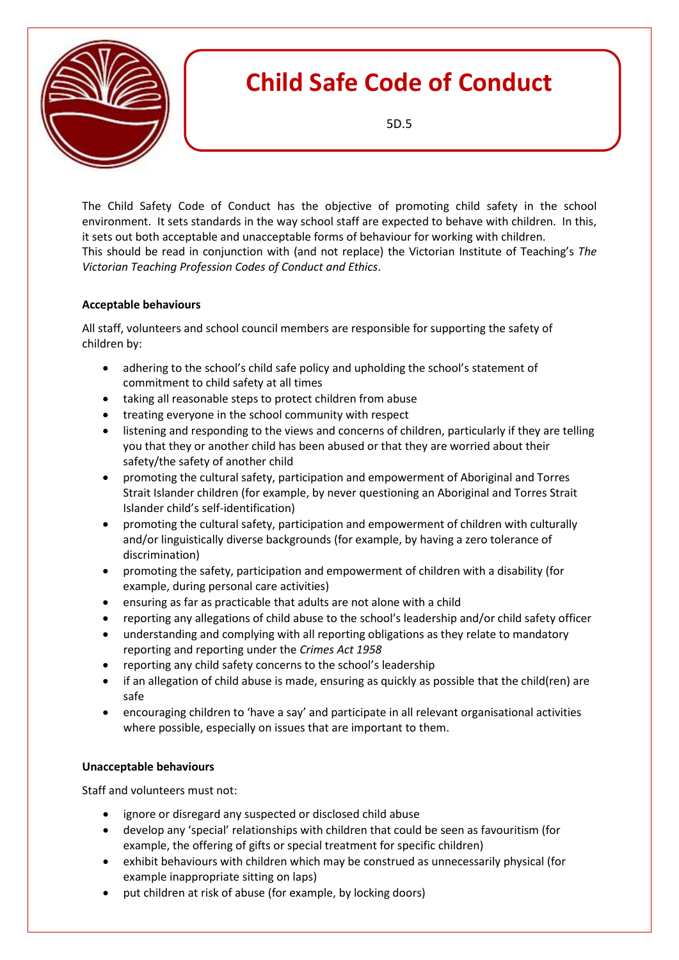

The Child Safety Code of Conduct has the objective of promoting child safety in the school environment. It sets standards in the way school staff are expected to behave with children. In this, it sets out both acceptable and unacceptable forms of behaviour for working with children. This should be read in conjunction with (and not replace) the Victorian Institute of Teaching's *The Victorian Teaching Profession Codes of Conduct and Ethics*.

## **Acceptable behaviours**

All staff, volunteers and school council members are responsible for supporting the safety of children by:

- adhering to the school's child safe policy and upholding the school's statement of commitment to child safety at all times
- taking all reasonable steps to protect children from abuse
- treating everyone in the school community with respect
- listening and responding to the views and concerns of children, particularly if they are telling you that they or another child has been abused or that they are worried about their safety/the safety of another child
- promoting the cultural safety, participation and empowerment of Aboriginal and Torres Strait Islander children (for example, by never questioning an Aboriginal and Torres Strait Islander child's self-identification)
- promoting the cultural safety, participation and empowerment of children with culturally and/or linguistically diverse backgrounds (for example, by having a zero tolerance of discrimination)
- promoting the safety, participation and empowerment of children with a disability (for example, during personal care activities)
- ensuring as far as practicable that adults are not alone with a child
- reporting any allegations of child abuse to the school's leadership and/or child safety officer
- understanding and complying with all reporting obligations as they relate to mandatory reporting and reporting under the *Crimes Act 1958*
- reporting any child safety concerns to the school's leadership
- if an allegation of child abuse is made, ensuring as quickly as possible that the child(ren) are safe
- encouraging children to 'have a say' and participate in all relevant organisational activities where possible, especially on issues that are important to them.

## **Unacceptable behaviours**

Staff and volunteers must not:

- ignore or disregard any suspected or disclosed child abuse
- develop any 'special' relationships with children that could be seen as favouritism (for example, the offering of gifts or special treatment for specific children)
- exhibit behaviours with children which may be construed as unnecessarily physical (for example inappropriate sitting on laps)
- put children at risk of abuse (for example, by locking doors)